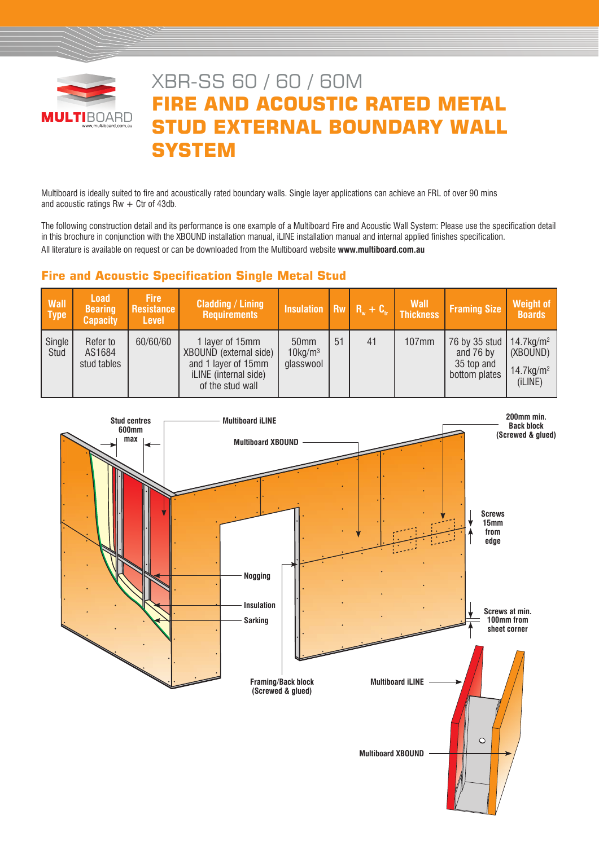

# XBR-SS 60 / 60 / 60M **FIRE AND ACOUSTIC RATED METAL STUD EXTERNAL BOUNDARY WALL SYSTEM**

Multiboard is ideally suited to fire and acoustically rated boundary walls. Single layer applications can achieve an FRL of over 90 mins and acoustic ratings  $Rw + C$ tr of 43db.

The following construction detail and its performance is one example of a Multiboard Fire and Acoustic Wall System: Please use the specification detail in this brochure in conjunction with the XBOUND installation manual, iLINE installation manual and internal applied finishes specification. All literature is available on request or can be downloaded from the Multiboard website **www.multiboard.com.au**

# **Fire and Acoustic Specification Single Metal Stud**

| <b>Wall</b><br><b>Type</b> | <b>Load</b><br><b>Bearing</b><br><b>Capacity</b> | <b>Fire</b><br>Resistance<br><b>Level</b> | <b>Cladding / Lining</b><br><b>Requirements</b>                                                               | Insulation Rw $R_w + C_v$ Thickness                     |    |    | <b>Wall</b> | <b>Framing Size</b>                                                                | Weight of<br><b>Boards</b>                      |
|----------------------------|--------------------------------------------------|-------------------------------------------|---------------------------------------------------------------------------------------------------------------|---------------------------------------------------------|----|----|-------------|------------------------------------------------------------------------------------|-------------------------------------------------|
| Single<br>Stud             | Refer to<br>AS1684<br>stud tables                | 60/60/60                                  | 1 layer of 15mm<br>XBOUND (external side)<br>and 1 layer of 15mm<br>iLINE (internal side)<br>of the stud wall | 50 <sub>mm</sub><br>$10$ kg/m <sup>3</sup><br>glasswool | 51 | 41 | 107mm       | 76 by 35 stud   14.7 kg/m <sup>2</sup><br>and 76 by<br>35 top and<br>bottom plates | (XBOUND)<br>$14.7$ kg/m <sup>2</sup><br>(iLINE) |